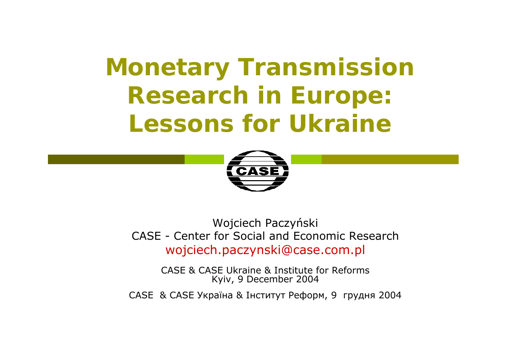# **Monetary Transmission Research in Europe: Lessons for Ukraine**



Wojciech Paczy ński CASE - Center for Social and Economic Research wojciech.paczynski@case.com.pl

CASE & CASE Ukraine & Institute for ReformsKyiv, 9 December 2004

CASE & CASE Україна & Інститут Реформ, 9 грудня 2004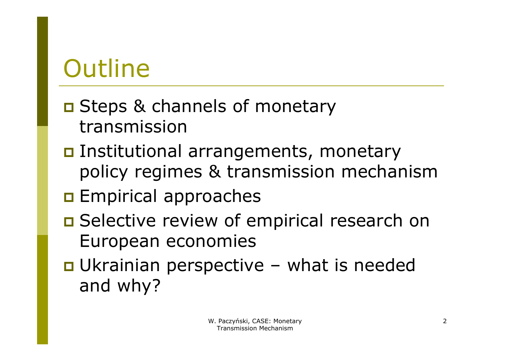# **Outline**

- **O** Steps & channels of monetary transmission
- **Institutional arrangements, monetary** policy regimes & transmission mechanism
- **Empirical approaches**
- **O** Selective review of empirical research on European economies
- **O** Ukrainian perspective what is needed and why?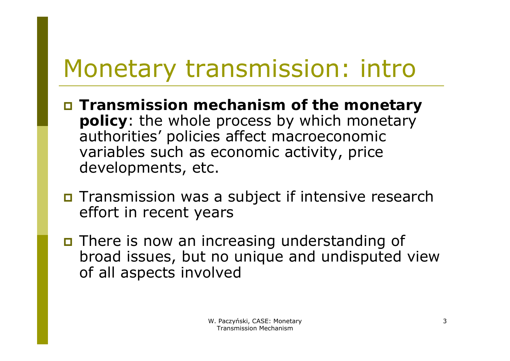# Monetary transmission: intro

- **Transmission mechanism of the monetary policy**: the whole process by which monetary authorities' policies affect macroeconomic variables such as economic activity, price developments, etc.
- **n** Transmission was a subject if intensive research effort in recent years
- **n** There is now an increasing understanding of broad issues, but no unique and undisputed view of all aspects involved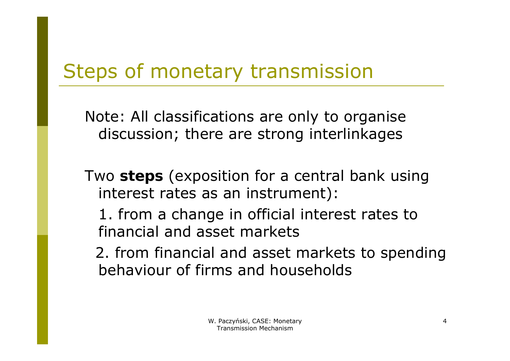#### Steps of monetary transmission

Note: All classifications are only to organise discussion; there are strong interlinkages

Two **steps** (exposition for a central bank using interest rates as an instrument):

1. from a change in official interest rates to financial and asset markets

2. from financial and asset markets to spending behaviour of firms and households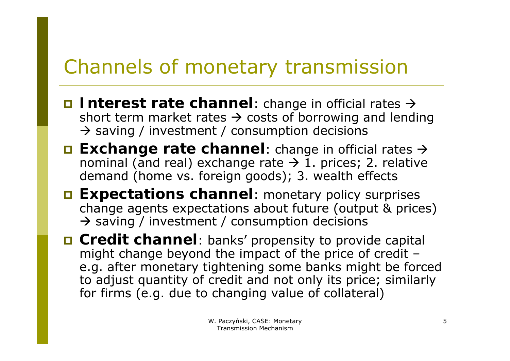### Channels of monetary transmission

- **Interest rate channel**: change in official rates  $\rightarrow$ short term market rates  $\rightarrow$  costs of borrowing and lending  $\rightarrow$  saving / investment / consumption decisions
- **□ Exchange rate channel**: change in official rates → nominal (and real) exchange rate  $\rightarrow$  1. prices; 2. relative demand (home vs. foreign goods); 3. wealth effects
- **Expectations channel:** monetary policy surprises change agents expectations about future (output & prices)  $\rightarrow$  saving / investment / consumption decisions
- **□ Credit channel**: banks' propensity to provide capital might change beyond the impact of the price of credit – e.g. after monetary tightening some banks might be forced to adjust quantity of credit and not only its price; similarly for firms (e.g. due to changing value of collateral)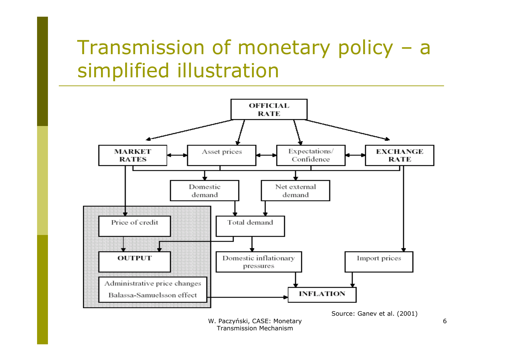#### Transmission of monetary policy – <sup>a</sup> simplified illustration



W. Paczyński, CASE: Monetary Transmission Mechanism

6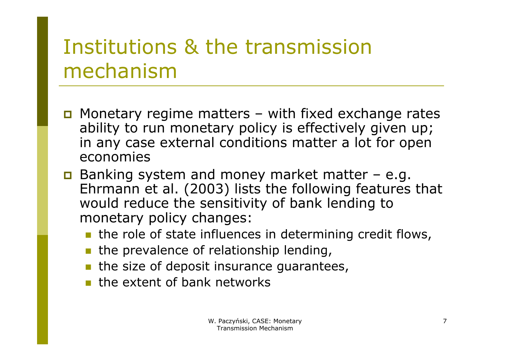## Institutions & the transmission mechanism

- $\Box$  Monetary regime matters with fixed exchange rates ability to run monetary policy is effectively given up; in any case external conditions matter a lot for open economies
- Banking system and money market matter e.g. Ehrmann et al. (2003) lists the following features that would reduce the sensitivity of bank lending to monetary policy changes:
	- **the role of state influences in determining credit flows,**
	- **the prevalence of relationship lending,**
	- $\blacksquare$  the size of deposit insurance guarantees,
	- **the extent of bank networks**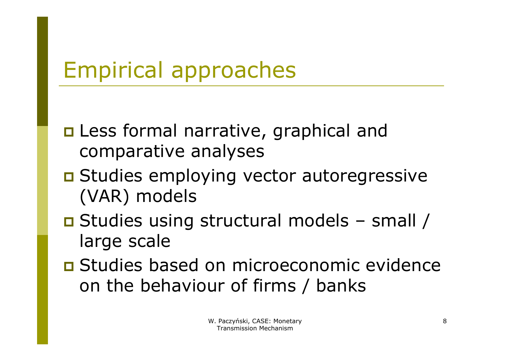## Empirical approaches

- **n** Less formal narrative, graphical and comparative analyses
- **O** Studies employing vector autoregressive (VAR) models
- Studies using structural models small / large scale
- **O** Studies based on microeconomic evidence on the behaviour of firms / banks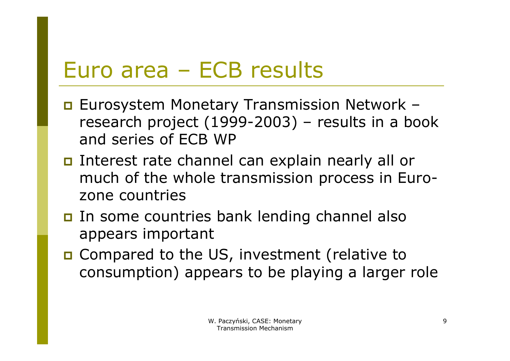## Euro area – ECB results

- **E** Eurosystem Monetary Transmission Network research project (1999-2003) – results in a book and series of ECB WP
- Interest rate channel can explain nearly all or much of the whole transmission process in Eurozone countries
- In some countries bank lending channel also appears important
- □ Compared to the US, investment (relative to consumption) appears to be playing a larger role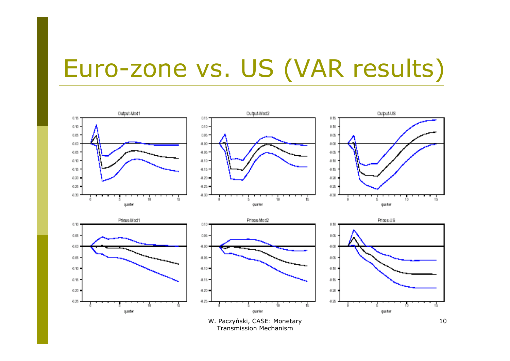# Euro-zone vs. US (VAR results)



W. Paczyński, CASE: Monetary Transmission Mechanism

10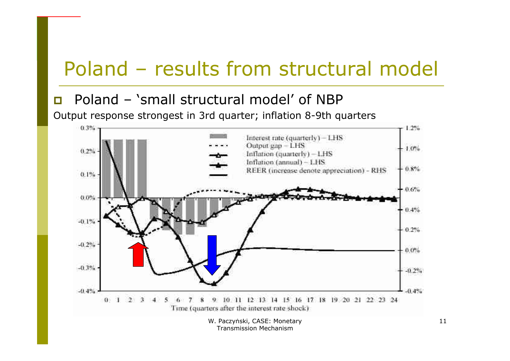### Poland – results from structural model

#### П Poland – 'small structural model' of NBP

Output response strongest in 3rd quarter; inflation 8-9th quarters



Transmission Mechanism

11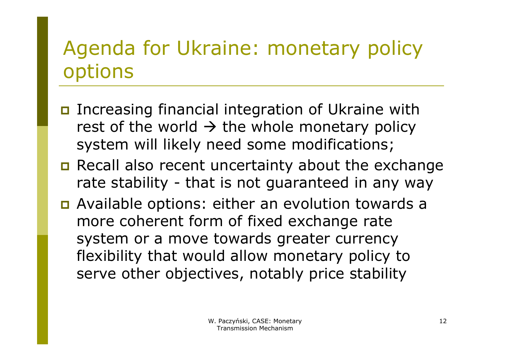## Agenda for Ukraine: monetary policy options

- Increasing financial integration of Ukraine with rest of the world  $\rightarrow$  the whole monetary policy system will likely need some modifications;
- **n** Recall also recent uncertainty about the exchange rate stability - that is not guaranteed in any way
- **n** Available options: either an evolution towards a more coherent form of fixed exchange rate system or a move towards greater currency flexibility that would allow monetary policy to serve other objectives, notably price stability